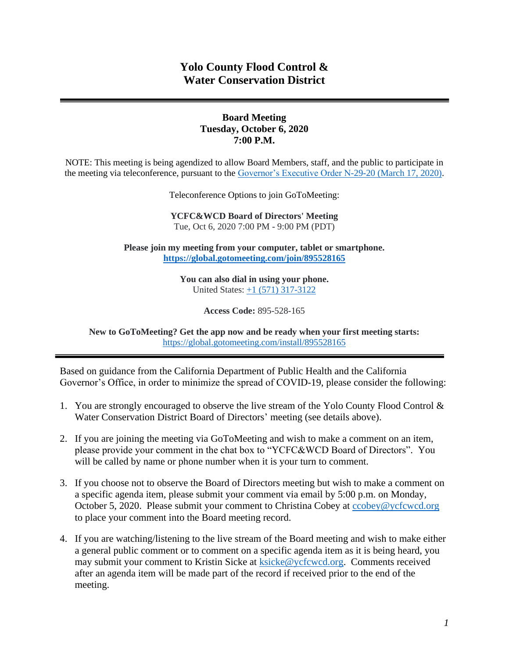# **Yolo County Flood Control & Water Conservation District**

## **Board Meeting Tuesday, October 6, 2020 7:00 P.M.**

NOTE: This meeting is being agendized to allow Board Members, staff, and the public to participate in the meeting via teleconference, pursuant to the [Governor's Executive Order N-29-20 \(March 17, 2020\).](https://www.gov.ca.gov/wp-content/uploads/2020/03/3.17.20-N-29-20-EO.pdf)

Teleconference Options to join GoToMeeting:

**YCFC&WCD Board of Directors' Meeting** Tue, Oct 6, 2020 7:00 PM - 9:00 PM (PDT)

**Please join my meeting from your computer, tablet or smartphone. <https://global.gotomeeting.com/join/895528165>**

> **You can also dial in using your phone.** United States: [+1 \(571\) 317-3122](tel:+15713173122,,895528165)

> > **Access Code:** 895-528-165

**New to GoToMeeting? Get the app now and be ready when your first meeting starts:**  <https://global.gotomeeting.com/install/895528165>

Based on guidance from the California Department of Public Health and the California Governor's Office, in order to minimize the spread of COVID-19, please consider the following:

- 1. You are strongly encouraged to observe the live stream of the Yolo County Flood Control & Water Conservation District Board of Directors' meeting (see details above).
- 2. If you are joining the meeting via GoToMeeting and wish to make a comment on an item, please provide your comment in the chat box to "YCFC&WCD Board of Directors". You will be called by name or phone number when it is your turn to comment.
- 3. If you choose not to observe the Board of Directors meeting but wish to make a comment on a specific agenda item, please submit your comment via email by 5:00 p.m. on Monday, October 5, 2020. Please submit your comment to Christina Cobey at [ccobey@ycfcwcd.org](mailto:ccobey@ycfcwcd.org) to place your comment into the Board meeting record.
- 4. If you are watching/listening to the live stream of the Board meeting and wish to make either a general public comment or to comment on a specific agenda item as it is being heard, you may submit your comment to Kristin Sicke at **ksicke@ycfcwcd.org**. Comments received after an agenda item will be made part of the record if received prior to the end of the meeting.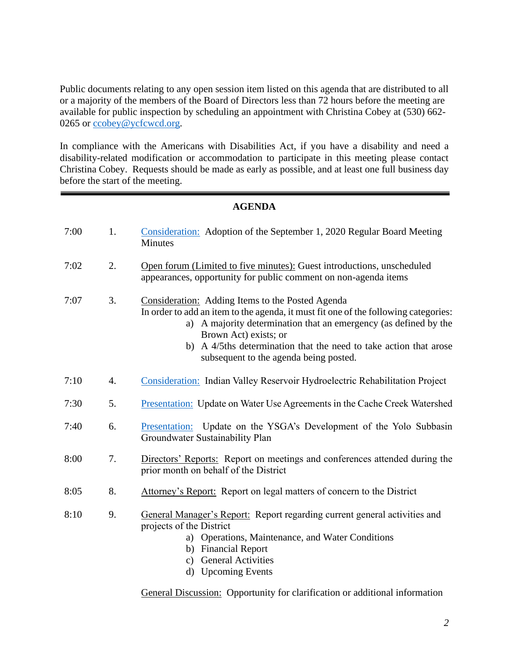Public documents relating to any open session item listed on this agenda that are distributed to all or a majority of the members of the Board of Directors less than 72 hours before the meeting are available for public inspection by scheduling an appointment with Christina Cobey at (530) 662- 0265 or [ccobey@ycfcwcd.org](mailto:ccobey@ycfcwcd.org)*.* 

In compliance with the Americans with Disabilities Act, if you have a disability and need a disability-related modification or accommodation to participate in this meeting please contact Christina Cobey. Requests should be made as early as possible, and at least one full business day before the start of the meeting.

#### **AGENDA**

| 7:00 | 1. | Consideration: Adoption of the September 1, 2020 Regular Board Meeting<br>Minutes                                                                                                                                                                                                                                                                      |  |
|------|----|--------------------------------------------------------------------------------------------------------------------------------------------------------------------------------------------------------------------------------------------------------------------------------------------------------------------------------------------------------|--|
| 7:02 | 2. | Open forum (Limited to five minutes): Guest introductions, unscheduled<br>appearances, opportunity for public comment on non-agenda items                                                                                                                                                                                                              |  |
| 7:07 | 3. | Consideration: Adding Items to the Posted Agenda<br>In order to add an item to the agenda, it must fit one of the following categories:<br>a) A majority determination that an emergency (as defined by the<br>Brown Act) exists; or<br>A 4/5ths determination that the need to take action that arose<br>b)<br>subsequent to the agenda being posted. |  |
| 7:10 | 4. | Consideration: Indian Valley Reservoir Hydroelectric Rehabilitation Project                                                                                                                                                                                                                                                                            |  |
| 7:30 | 5. | <b>Presentation:</b> Update on Water Use Agreements in the Cache Creek Watershed                                                                                                                                                                                                                                                                       |  |
| 7:40 | 6. | Presentation: Update on the YSGA's Development of the Yolo Subbasin<br>Groundwater Sustainability Plan                                                                                                                                                                                                                                                 |  |
| 8:00 | 7. | Directors' Reports: Report on meetings and conferences attended during the<br>prior month on behalf of the District                                                                                                                                                                                                                                    |  |
| 8:05 | 8. | Attorney's Report: Report on legal matters of concern to the District                                                                                                                                                                                                                                                                                  |  |
| 8:10 | 9. | General Manager's Report: Report regarding current general activities and<br>projects of the District<br>a) Operations, Maintenance, and Water Conditions<br>b) Financial Report<br>c) General Activities<br>d) Upcoming Events                                                                                                                        |  |

General Discussion: Opportunity for clarification or additional information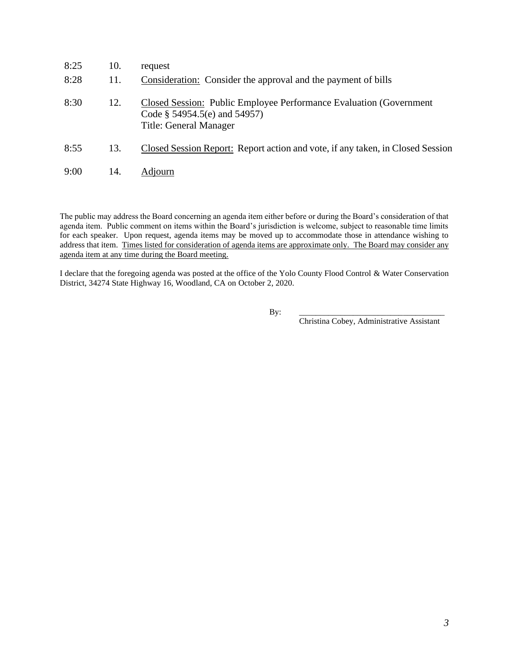| 8:25 | 10. | request                                                                                                                                 |
|------|-----|-----------------------------------------------------------------------------------------------------------------------------------------|
| 8:28 | 11. | Consideration: Consider the approval and the payment of bills                                                                           |
| 8:30 | 12. | <b>Closed Session: Public Employee Performance Evaluation (Government)</b><br>Code $\S$ 54954.5(e) and 54957)<br>Title: General Manager |
| 8:55 | 13. | Closed Session Report: Report action and vote, if any taken, in Closed Session                                                          |
| 9:00 | 14. | Adjourn                                                                                                                                 |

The public may address the Board concerning an agenda item either before or during the Board's consideration of that agenda item. Public comment on items within the Board's jurisdiction is welcome, subject to reasonable time limits for each speaker. Upon request, agenda items may be moved up to accommodate those in attendance wishing to address that item. Times listed for consideration of agenda items are approximate only. The Board may consider any agenda item at any time during the Board meeting.

I declare that the foregoing agenda was posted at the office of the Yolo County Flood Control & Water Conservation District, 34274 State Highway 16, Woodland, CA on October 2, 2020.

By: \_\_\_\_\_\_\_\_\_\_\_\_\_\_\_\_\_\_\_\_\_\_\_\_\_\_\_\_\_\_\_\_\_\_\_

Christina Cobey, Administrative Assistant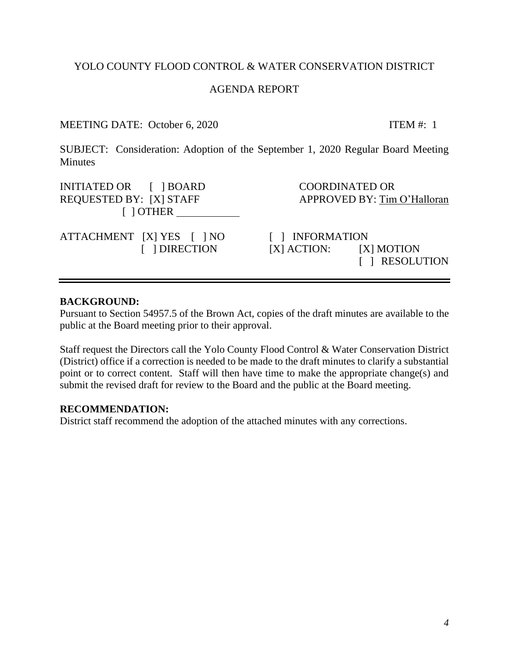## AGENDA REPORT

## MEETING DATE: October 6, 2020 ITEM #: 1

<span id="page-3-0"></span>SUBJECT: Consideration: Adoption of the September 1, 2020 Regular Board Meeting **Minutes** 

INITIATED OR  $\begin{array}{ccc} \text{I} & \text{IBOARD} \\ \text{I} & \text{I} & \text{BOARD} \end{array}$ REQUESTED BY: [X] STAFF APPROVED BY: Tim O'Halloran [ ] OTHER

ATTACHMENT [X] YES [ ] NO [ ] INFORMATION

 [ ] DIRECTION [X] ACTION: [X] MOTION [ ] RESOLUTION

#### **BACKGROUND:**

Pursuant to Section 54957.5 of the Brown Act, copies of the draft minutes are available to the public at the Board meeting prior to their approval.

Staff request the Directors call the Yolo County Flood Control & Water Conservation District (District) office if a correction is needed to be made to the draft minutes to clarify a substantial point or to correct content. Staff will then have time to make the appropriate change(s) and submit the revised draft for review to the Board and the public at the Board meeting.

#### **RECOMMENDATION:**

District staff recommend the adoption of the attached minutes with any corrections.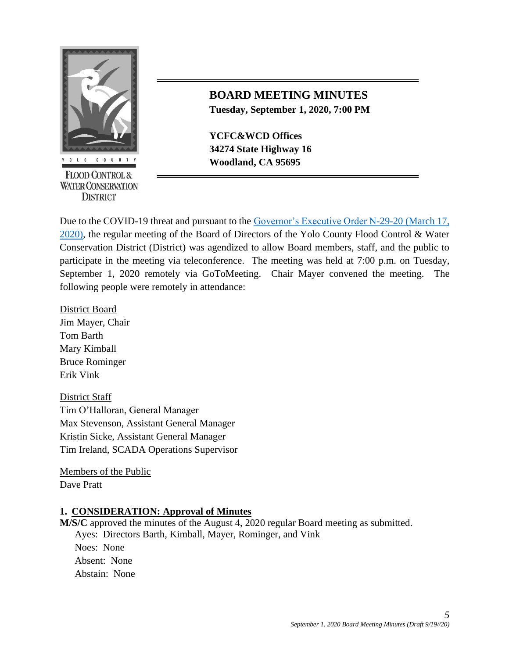

**FLOOD CONTROL & WATER CONSERVATION DISTRICT** 

# **BOARD MEETING MINUTES Tuesday, September 1, 2020, 7:00 PM**

**YCFC&WCD Offices 34274 State Highway 16 Woodland, CA 95695** 

Due to the COVID-19 threat and pursuant to the Governor's Executive Order N-29-20 (March 17, [2020\),](https://www.gov.ca.gov/wp-content/uploads/2020/03/3.17.20-N-29-20-EO.pdf) the regular meeting of the Board of Directors of the Yolo County Flood Control & Water Conservation District (District) was agendized to allow Board members, staff, and the public to participate in the meeting via teleconference. The meeting was held at 7:00 p.m. on Tuesday, September 1, 2020 remotely via GoToMeeting. Chair Mayer convened the meeting. The following people were remotely in attendance:

District Board Jim Mayer, Chair Tom Barth Mary Kimball Bruce Rominger Erik Vink

District Staff Tim O'Halloran, General Manager Max Stevenson, Assistant General Manager Kristin Sicke, Assistant General Manager Tim Ireland, SCADA Operations Supervisor

Members of the Public Dave Pratt

## **1. CONSIDERATION: Approval of Minutes**

**M/S/C** approved the minutes of the August 4, 2020 regular Board meeting as submitted. Ayes: Directors Barth, Kimball, Mayer, Rominger, and Vink Noes: None Absent: None Abstain: None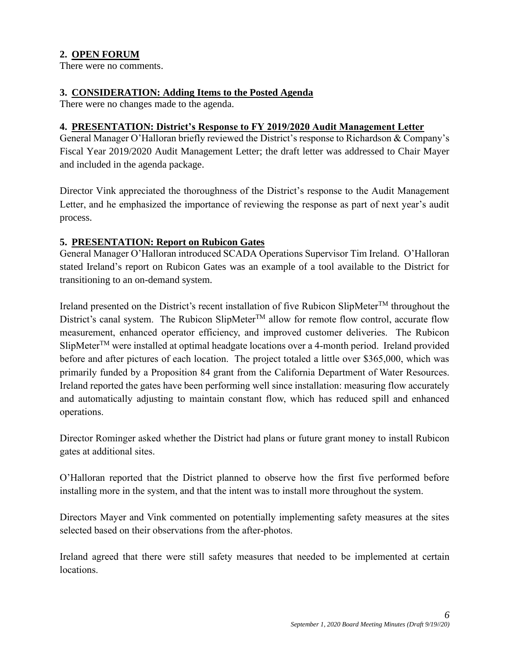# **2. OPEN FORUM**

There were no comments.

#### **3. CONSIDERATION: Adding Items to the Posted Agenda**

There were no changes made to the agenda.

#### **4. PRESENTATION: District's Response to FY 2019/2020 Audit Management Letter**

General Manager O'Halloran briefly reviewed the District's response to Richardson & Company's Fiscal Year 2019/2020 Audit Management Letter; the draft letter was addressed to Chair Mayer and included in the agenda package.

Director Vink appreciated the thoroughness of the District's response to the Audit Management Letter, and he emphasized the importance of reviewing the response as part of next year's audit process.

## **5. PRESENTATION: Report on Rubicon Gates**

General Manager O'Halloran introduced SCADA Operations Supervisor Tim Ireland. O'Halloran stated Ireland's report on Rubicon Gates was an example of a tool available to the District for transitioning to an on-demand system.

Ireland presented on the District's recent installation of five Rubicon SlipMeter<sup>TM</sup> throughout the District's canal system. The Rubicon SlipMeter<sup>™</sup> allow for remote flow control, accurate flow measurement, enhanced operator efficiency, and improved customer deliveries. The Rubicon  $S$ lipMeter<sup>TM</sup> were installed at optimal headgate locations over a 4-month period. Ireland provided before and after pictures of each location. The project totaled a little over \$365,000, which was primarily funded by a Proposition 84 grant from the California Department of Water Resources. Ireland reported the gates have been performing well since installation: measuring flow accurately and automatically adjusting to maintain constant flow, which has reduced spill and enhanced operations.

Director Rominger asked whether the District had plans or future grant money to install Rubicon gates at additional sites.

O'Halloran reported that the District planned to observe how the first five performed before installing more in the system, and that the intent was to install more throughout the system.

Directors Mayer and Vink commented on potentially implementing safety measures at the sites selected based on their observations from the after-photos.

Ireland agreed that there were still safety measures that needed to be implemented at certain locations.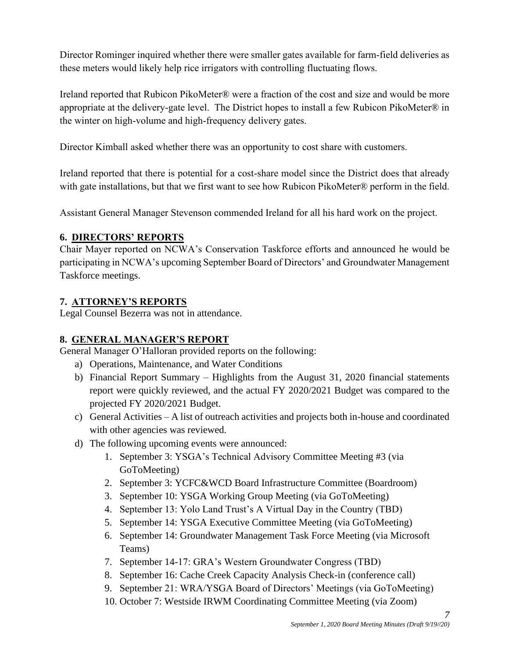Director Rominger inquired whether there were smaller gates available for farm-field deliveries as these meters would likely help rice irrigators with controlling fluctuating flows.

Ireland reported that Rubicon PikoMeter® were a fraction of the cost and size and would be more appropriate at the delivery-gate level. The District hopes to install a few Rubicon PikoMeter $\mathcal{D}$  in the winter on high-volume and high-frequency delivery gates.

Director Kimball asked whether there was an opportunity to cost share with customers.

Ireland reported that there is potential for a cost-share model since the District does that already with gate installations, but that we first want to see how Rubicon PikoMeter® perform in the field.

Assistant General Manager Stevenson commended Ireland for all his hard work on the project.

## **6. DIRECTORS' REPORTS**

Chair Mayer reported on NCWA's Conservation Taskforce efforts and announced he would be participating in NCWA's upcoming September Board of Directors' and Groundwater Management Taskforce meetings.

## **7. ATTORNEY'S REPORTS**

Legal Counsel Bezerra was not in attendance.

## **8. GENERAL MANAGER'S REPORT**

General Manager O'Halloran provided reports on the following:

- a) Operations, Maintenance, and Water Conditions
- b) Financial Report Summary Highlights from the August 31, 2020 financial statements report were quickly reviewed, and the actual FY 2020/2021 Budget was compared to the projected FY 2020/2021 Budget.
- c) General Activities A list of outreach activities and projects both in-house and coordinated with other agencies was reviewed.
- d) The following upcoming events were announced:
	- 1. September 3: YSGA's Technical Advisory Committee Meeting #3 (via GoToMeeting)
	- 2. September 3: YCFC&WCD Board Infrastructure Committee (Boardroom)
	- 3. September 10: YSGA Working Group Meeting (via GoToMeeting)
	- 4. September 13: Yolo Land Trust's A Virtual Day in the Country (TBD)
	- 5. September 14: YSGA Executive Committee Meeting (via GoToMeeting)
	- 6. September 14: Groundwater Management Task Force Meeting (via Microsoft Teams)
	- 7. September 14-17: GRA's Western Groundwater Congress (TBD)
	- 8. September 16: Cache Creek Capacity Analysis Check-in (conference call)
	- 9. September 21: WRA/YSGA Board of Directors' Meetings (via GoToMeeting)
	- 10. October 7: Westside IRWM Coordinating Committee Meeting (via Zoom)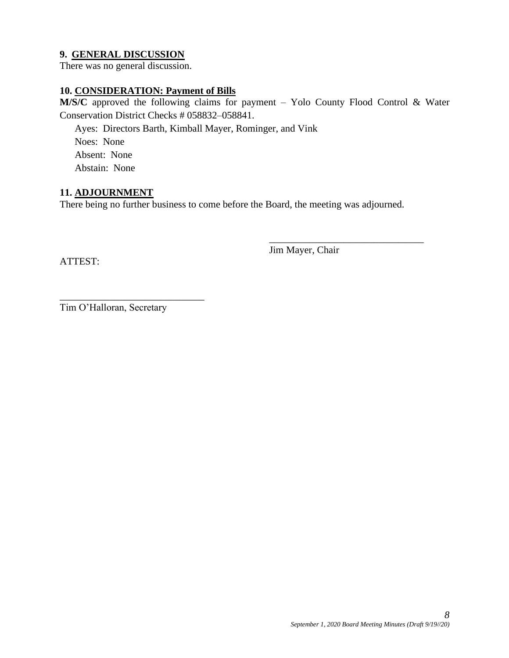## **9. GENERAL DISCUSSION**

There was no general discussion.

#### **10. CONSIDERATION: Payment of Bills**

**M/S/C** approved the following claims for payment – Yolo County Flood Control & Water Conservation District Checks # 058832–058841.

Ayes: Directors Barth, Kimball Mayer, Rominger, and Vink Noes: None Absent: None Abstain: None

#### **11. ADJOURNMENT**

There being no further business to come before the Board, the meeting was adjourned.

ATTEST:

Jim Mayer, Chair

\_\_\_\_\_\_\_\_\_\_\_\_\_\_\_\_\_\_\_\_\_\_\_\_\_\_\_\_\_\_\_

Tim O'Halloran, Secretary

\_\_\_\_\_\_\_\_\_\_\_\_\_\_\_\_\_\_\_\_\_\_\_\_\_\_\_\_\_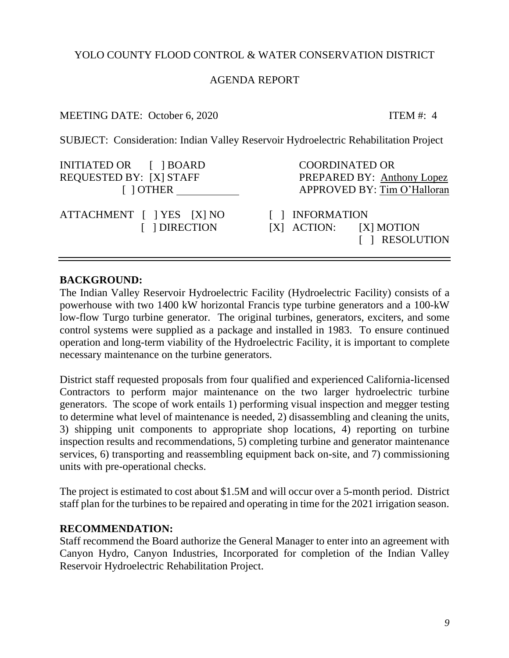## AGENDA REPORT

## MEETING DATE: October 6, 2020 ITEM #: 4

<span id="page-8-0"></span>SUBJECT: Consideration: Indian Valley Reservoir Hydroelectric Rehabilitation Project

| INITIATED OR [ ] BOARD                     | <b>COORDINATED OR</b>                                           |
|--------------------------------------------|-----------------------------------------------------------------|
| REQUESTED BY: [X] STAFF                    | PREPARED BY: Anthony Lopez                                      |
| $\lceil$ $\rceil$ OTHER                    | APPROVED BY: Tim O'Halloran                                     |
| ATTACHMENT [ ] YES [X] NO<br>[ ] DIRECTION | [ ] INFORMATION<br>$[X]$ ACTION: $[X]$ MOTION<br>[ ] RESOLUTION |

## **BACKGROUND:**

The Indian Valley Reservoir Hydroelectric Facility (Hydroelectric Facility) consists of a powerhouse with two 1400 kW horizontal Francis type turbine generators and a 100-kW low-flow Turgo turbine generator. The original turbines, generators, exciters, and some control systems were supplied as a package and installed in 1983. To ensure continued operation and long-term viability of the Hydroelectric Facility, it is important to complete necessary maintenance on the turbine generators.

District staff requested proposals from four qualified and experienced California-licensed Contractors to perform major maintenance on the two larger hydroelectric turbine generators. The scope of work entails 1) performing visual inspection and megger testing to determine what level of maintenance is needed, 2) disassembling and cleaning the units, 3) shipping unit components to appropriate shop locations, 4) reporting on turbine inspection results and recommendations, 5) completing turbine and generator maintenance services, 6) transporting and reassembling equipment back on-site, and 7) commissioning units with pre-operational checks.

The project is estimated to cost about \$1.5M and will occur over a 5-month period. District staff plan for the turbines to be repaired and operating in time for the 2021 irrigation season.

## **RECOMMENDATION:**

Staff recommend the Board authorize the General Manager to enter into an agreement with Canyon Hydro, Canyon Industries, Incorporated for completion of the Indian Valley Reservoir Hydroelectric Rehabilitation Project.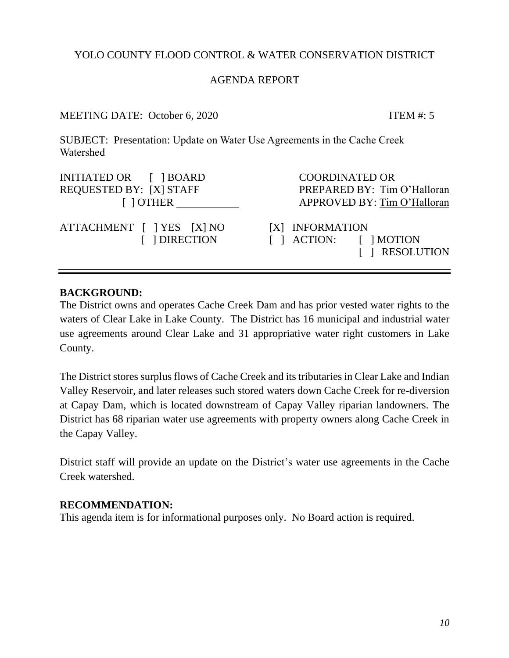## AGENDA REPORT

## MEETING DATE: October 6, 2020 ITEM #: 5

<span id="page-9-0"></span>SUBJECT: Presentation: Update on Water Use Agreements in the Cache Creek Watershed

| INITIATED OR [ ] BOARD                     | <b>COORDINATED OR</b>                                                     |
|--------------------------------------------|---------------------------------------------------------------------------|
| REQUESTED BY: [X] STAFF                    | PREPARED BY: Tim O'Halloran                                               |
| $\lceil$ $\rceil$ OTHER                    | APPROVED BY: Tim O'Halloran                                               |
| ATTACHMENT [ ] YES [X] NO<br>[ ] DIRECTION | [X] INFORMATION<br>$\lceil$   ACTION: $\lceil$   MOTION<br>[ ] RESOLUTION |

## **BACKGROUND:**

The District owns and operates Cache Creek Dam and has prior vested water rights to the waters of Clear Lake in Lake County. The District has 16 municipal and industrial water use agreements around Clear Lake and 31 appropriative water right customers in Lake County.

The District stores surplus flows of Cache Creek and its tributaries in Clear Lake and Indian Valley Reservoir, and later releases such stored waters down Cache Creek for re-diversion at Capay Dam, which is located downstream of Capay Valley riparian landowners. The District has 68 riparian water use agreements with property owners along Cache Creek in the Capay Valley.

District staff will provide an update on the District's water use agreements in the Cache Creek watershed.

## **RECOMMENDATION:**

This agenda item is for informational purposes only. No Board action is required.